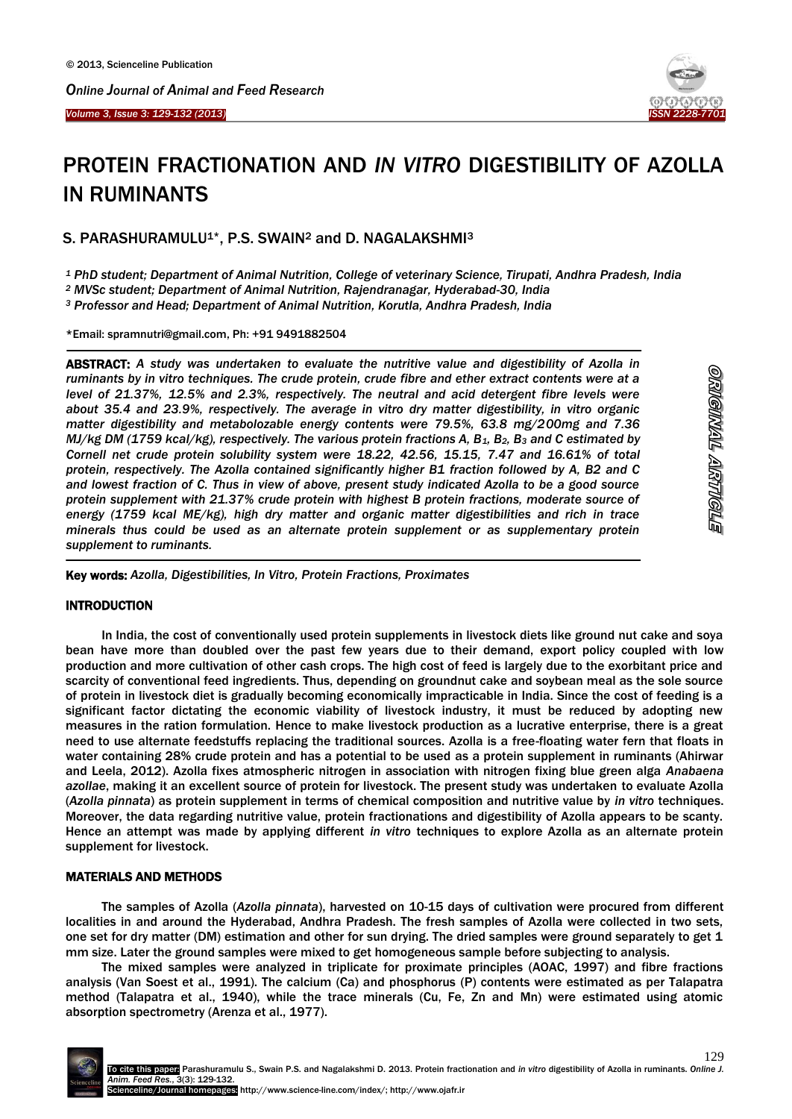



# PROTEIN FRACTIONATION AND *IN VITRO* DIGESTIBILITY OF AZOLLA IN RUMINANTS

S. PARASHURAMULU<sup>1\*</sup>, P.S. SWAIN<sup>2</sup> and D. NAGALAKSHMI<sup>3</sup>

*<sup>1</sup> PhD student; Department of Animal Nutrition, College of veterinary Science, Tirupati, Andhra Pradesh, India*

*<sup>2</sup> MVSc student; Department of Animal Nutrition, Rajendranagar, Hyderabad-30, India*

*<sup>3</sup> Professor and Head; Department of Animal Nutrition, Korutla, Andhra Pradesh, India*

\*Email: spramnutri@gmail.com, Ph: +91 9491882504

ABSTRACT: *A study was undertaken to evaluate the nutritive value and digestibility of Azolla in ruminants by in vitro techniques. The crude protein, crude fibre and ether extract contents were at a level of 21.37%, 12.5% and 2.3%, respectively. The neutral and acid detergent fibre levels were about 35.4 and 23.9%, respectively. The average in vitro dry matter digestibility, in vitro organic matter digestibility and metabolozable energy contents were 79.5%, 63.8 mg/200mg and 7.36 MJ/kg DM (1759 kcal/kg), respectively. The various protein fractions A, B1, B2, B<sup>3</sup> and C estimated by Cornell net crude protein solubility system were 18.22, 42.56, 15.15, 7.47 and 16.61% of total protein, respectively. The Azolla contained significantly higher B1 fraction followed by A, B2 and C and lowest fraction of C. Thus in view of above, present study indicated Azolla to be a good source protein supplement with 21.37% crude protein with highest B protein fractions, moderate source of energy (1759 kcal ME/kg), high dry matter and organic matter digestibilities and rich in trace minerals thus could be used as an alternate protein supplement or as supplementary protein supplement to ruminants.*

Key words: *Azolla, Digestibilities, In Vitro, Protein Fractions, Proximates*

# **INTRODUCTION**

-

 $\overline{\phantom{a}}$ 

In India, the cost of conventionally used protein supplements in livestock diets like ground nut cake and soya bean have more than doubled over the past few years due to their demand, export policy coupled with low production and more cultivation of other cash crops. The high cost of feed is largely due to the exorbitant price and scarcity of conventional feed ingredients. Thus, depending on groundnut cake and soybean meal as the sole source of protein in livestock diet is gradually becoming economically impracticable in India. Since the cost of feeding is a significant factor dictating the economic viability of livestock industry, it must be reduced by adopting new measures in the ration formulation. Hence to make livestock production as a lucrative enterprise, there is a great need to use alternate feedstuffs replacing the traditional sources. Azolla is a free-floating water fern that floats in water containing 28% crude protein and has a potential to be used as a protein supplement in ruminants (Ahirwar and Leela, 2012). Azolla fixes atmospheric nitrogen in association with nitrogen fixing blue green alga *Anabaena azollae*, making it an excellent source of protein for livestock. The present study was undertaken to evaluate Azolla (*Azolla pinnata*) as protein supplement in terms of chemical composition and nutritive value by *in vitro* techniques. Moreover, the data regarding nutritive value, protein fractionations and digestibility of Azolla appears to be scanty. Hence an attempt was made by applying different *in vitro* techniques to explore Azolla as an alternate protein supplement for livestock.

# MATERIALS AND METHODS

The samples of Azolla (*Azolla pinnata*), harvested on 10-15 days of cultivation were procured from different localities in and around the Hyderabad, Andhra Pradesh. The fresh samples of Azolla were collected in two sets, one set for dry matter (DM) estimation and other for sun drying. The dried samples were ground separately to get 1 mm size. Later the ground samples were mixed to get homogeneous sample before subjecting to analysis.

The mixed samples were analyzed in triplicate for proximate principles (AOAC, 1997) and fibre fractions analysis (Van Soest et al., 1991). The calcium (Ca) and phosphorus (P) contents were estimated as per Talapatra method (Talapatra et al., 1940), while the trace minerals (Cu, Fe, Zn and Mn) were estimated using atomic absorption spectrometry (Arenza et al., 1977).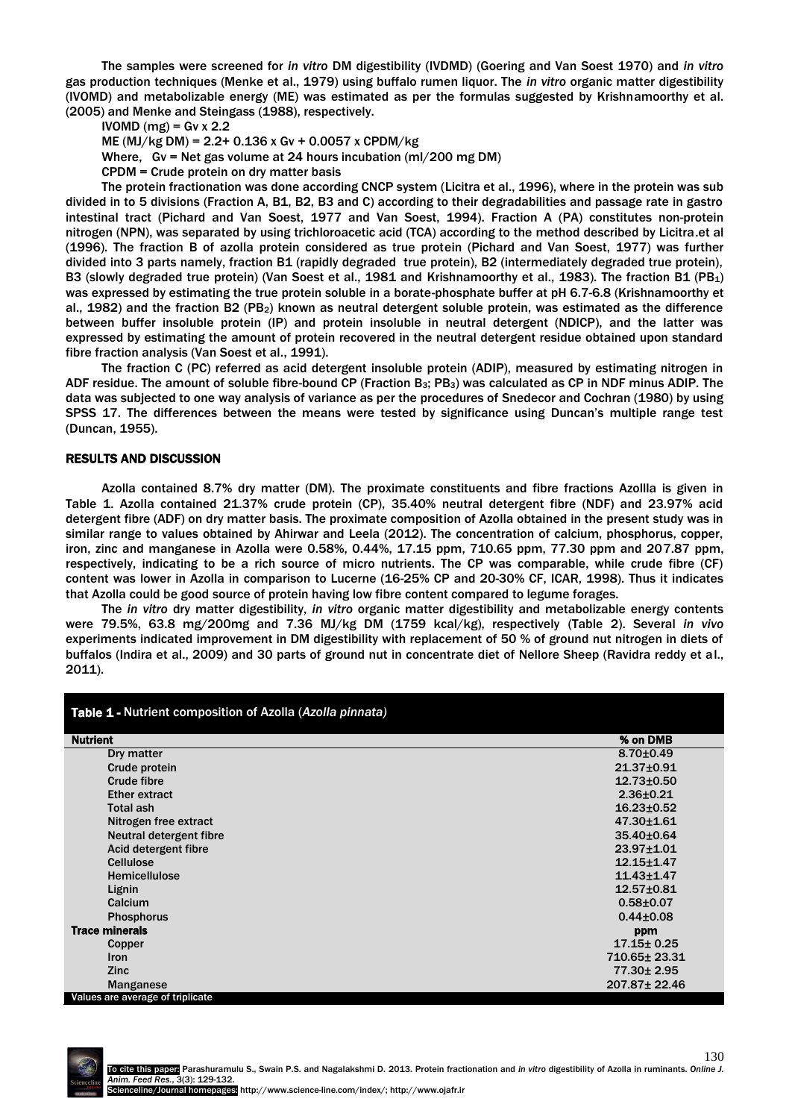The samples were screened for *in vitro* DM digestibility (IVDMD) (Goering and Van Soest 1970) and *in vitro* gas production techniques (Menke et al., 1979) using buffalo rumen liquor. The *in vitro* organic matter digestibility (IVOMD) and metabolizable energy (ME) was estimated as per the formulas suggested by Krishnamoorthy et al. (2005) and Menke and Steingass (1988), respectively.

 $IVOMD$  (mg) = Gv x 2.2

ME (MJ/kg DM) = 2.2+ 0.136 x Gv + 0.0057 x CPDM/kg

Where, Gv = Net gas volume at 24 hours incubation (ml/200 mg DM)

CPDM = Crude protein on dry matter basis

The protein fractionation was done according CNCP system (Licitra et al., 1996), where in the protein was sub divided in to 5 divisions (Fraction A, B1, B2, B3 and C) according to their degradabilities and passage rate in gastro intestinal tract (Pichard and Van Soest, 1977 and Van Soest, 1994). Fraction A (PA) constitutes non-protein nitrogen (NPN), was separated by using trichloroacetic acid (TCA) according to the method described by Licitra.et al (1996). The fraction B of azolla protein considered as true protein (Pichard and Van Soest, 1977) was further divided into 3 parts namely, fraction B1 (rapidly degraded true protein), B2 (intermediately degraded true protein), B3 (slowly degraded true protein) (Van Soest et al., 1981 and Krishnamoorthy et al., 1983). The fraction B1 (PB<sub>1</sub>) was expressed by estimating the true protein soluble in a borate-phosphate buffer at pH 6.7-6.8 (Krishnamoorthy et al., 1982) and the fraction B2 (PB2) known as neutral detergent soluble protein, was estimated as the difference between buffer insoluble protein (IP) and protein insoluble in neutral detergent (NDICP), and the latter was expressed by estimating the amount of protein recovered in the neutral detergent residue obtained upon standard fibre fraction analysis (Van Soest et al., 1991).

The fraction C (PC) referred as acid detergent insoluble protein (ADIP), measured by estimating nitrogen in ADF residue. The amount of soluble fibre-bound CP (Fraction B<sub>3</sub>; PB<sub>3</sub>) was calculated as CP in NDF minus ADIP. The data was subjected to one way analysis of variance as per the procedures of Snedecor and Cochran (1980) by using SPSS 17. The differences between the means were tested by significance using Duncan's multiple range test (Duncan, 1955).

#### RESULTS AND DISCUSSION

Azolla contained 8.7% dry matter (DM). The proximate constituents and fibre fractions Azollla is given in Table 1. Azolla contained 21.37% crude protein (CP), 35.40% neutral detergent fibre (NDF) and 23.97% acid detergent fibre (ADF) on dry matter basis. The proximate composition of Azolla obtained in the present study was in similar range to values obtained by Ahirwar and Leela (2012). The concentration of calcium, phosphorus, copper, iron, zinc and manganese in Azolla were 0.58%, 0.44%, 17.15 ppm, 710.65 ppm, 77.30 ppm and 207.87 ppm, respectively, indicating to be a rich source of micro nutrients. The CP was comparable, while crude fibre (CF) content was lower in Azolla in comparison to Lucerne (16-25% CP and 20-30% CF, ICAR, 1998). Thus it indicates that Azolla could be good source of protein having low fibre content compared to legume forages.

The *in vitro* dry matter digestibility, *in vitro* organic matter digestibility and metabolizable energy contents were 79.5%, 63.8 mg/200mg and 7.36 MJ/kg DM (1759 kcal/kg), respectively (Table 2). Several *in vivo*  experiments indicated improvement in DM digestibility with replacement of 50 % of ground nut nitrogen in diets of buffalos (Indira et al., 2009) and 30 parts of ground nut in concentrate diet of Nellore Sheep (Ravidra reddy et al., 2011).

| Table 1 - Nutrient composition of Azolla (Azolla pinnata) |                  |
|-----------------------------------------------------------|------------------|
| <b>Nutrient</b>                                           | % on DMB         |
| Dry matter                                                | $8.70 \pm 0.49$  |
| Crude protein                                             | 21.37±0.91       |
| <b>Crude fibre</b>                                        | $12.73 \pm 0.50$ |
| <b>Ether extract</b>                                      | $2.36 + 0.21$    |
| <b>Total ash</b>                                          | $16.23 \pm 0.52$ |
| Nitrogen free extract                                     | $47.30 \pm 1.61$ |
| Neutral detergent fibre                                   | 35.40±0.64       |
| Acid detergent fibre                                      | $23.97 + 1.01$   |
| Cellulose                                                 | $12.15 + 1.47$   |
| <b>Hemicellulose</b>                                      | $11.43 \pm 1.47$ |
| Lignin                                                    | $12.57 + 0.81$   |
| Calcium                                                   | $0.58 + 0.07$    |
| <b>Phosphorus</b>                                         | $0.44 \pm 0.08$  |
| <b>Trace minerals</b>                                     | ppm              |
| Copper                                                    | $17.15 \pm 0.25$ |
| <b>Iron</b>                                               | 710.65±23.31     |
| <b>Zinc</b>                                               | 77.30 ± 2.95     |
| Manganese                                                 | 207.87 ± 22.46   |
| Values are average of triplicate                          |                  |

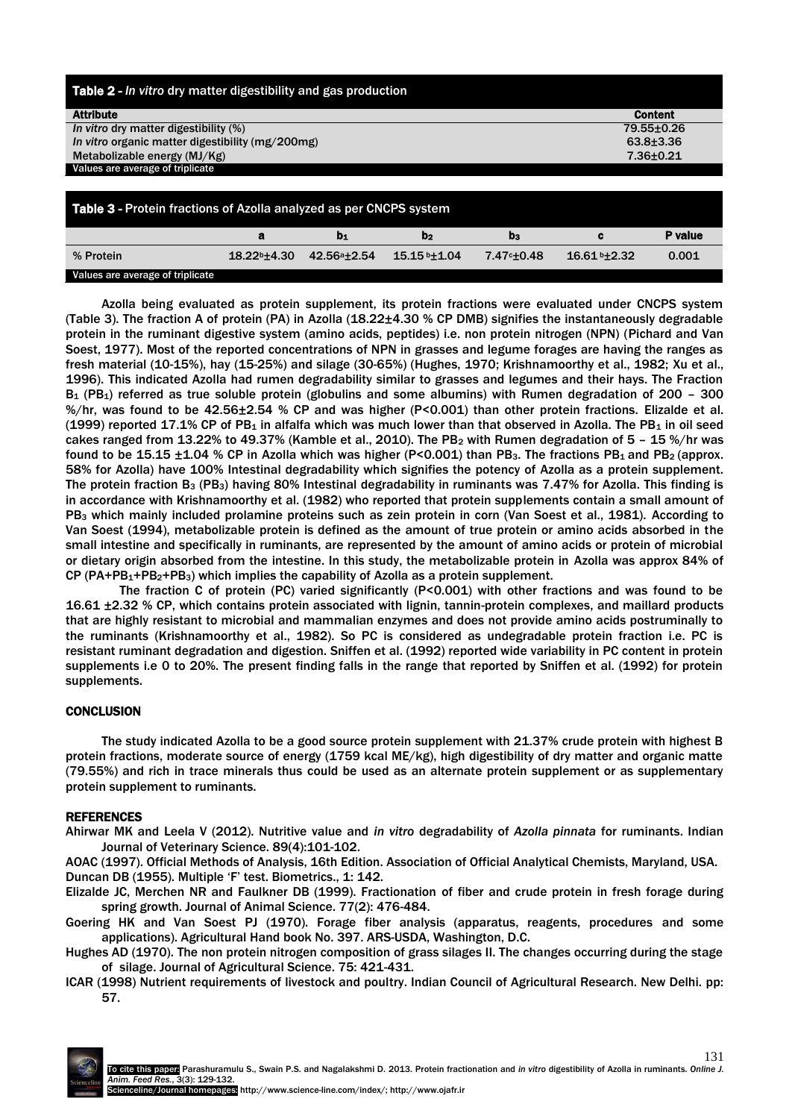| Table 2 - In vitro dry matter digestibility and gas production            |                 |  |  |  |  |  |  |  |
|---------------------------------------------------------------------------|-----------------|--|--|--|--|--|--|--|
| <b>Attribute</b>                                                          | <b>Content</b>  |  |  |  |  |  |  |  |
| In vitro dry matter digestibility (%)                                     | 79.55±0.26      |  |  |  |  |  |  |  |
| In vitro organic matter digestibility (mg/200mg)                          | $63.8 \pm 3.36$ |  |  |  |  |  |  |  |
| Metabolizable energy (MJ/Kg)                                              | 7.36±0.21       |  |  |  |  |  |  |  |
| Values are average of triplicate                                          |                 |  |  |  |  |  |  |  |
|                                                                           |                 |  |  |  |  |  |  |  |
| <b>Table 3 - Protein fractions of Azolla analyzed as per CNCPS system</b> |                 |  |  |  |  |  |  |  |
| $\sim$                                                                    | <b>D</b> unline |  |  |  |  |  |  |  |

|                                  |                   |             | D <sub>2</sub> | D3                      |                              | P value |
|----------------------------------|-------------------|-------------|----------------|-------------------------|------------------------------|---------|
| % Protein                        | $18.22b \pm 4.30$ | 42.56ª±2.54 | 15.15 b±1.04   | 7.47 <sup>c</sup> ±0.48 | $16.61$ <sup>b</sup> $±2.32$ | 0.001   |
| Values are average of triplicate |                   |             |                |                         |                              |         |

Azolla being evaluated as protein supplement, its protein fractions were evaluated under CNCPS system (Table 3). The fraction A of protein (PA) in Azolla (18.22±4.30 % CP DMB) signifies the instantaneously degradable protein in the ruminant digestive system (amino acids, peptides) i.e. non protein nitrogen (NPN) (Pichard and Van Soest, 1977). Most of the reported concentrations of NPN in grasses and legume forages are having the ranges as fresh material (10-15%), hay (15-25%) and silage (30-65%) (Hughes, 1970; Krishnamoorthy et al., 1982; Xu et al., 1996). This indicated Azolla had rumen degradability similar to grasses and legumes and their hays. The Fraction  $B_1$  (PB<sub>1</sub>) referred as true soluble protein (globulins and some albumins) with Rumen degradation of 200 – 300 %/hr, was found to be 42.56±2.54 % CP and was higher (P<0.001) than other protein fractions. Elizalde et al.  $(1999)$  reported 17.1% CP of PB<sub>1</sub> in alfalfa which was much lower than that observed in Azolla. The PB<sub>1</sub> in oil seed cakes ranged from 13.22% to 49.37% (Kamble et al., 2010). The PB<sub>2</sub> with Rumen degradation of 5 - 15 %/hr was found to be 15.15  $\pm$ 1.04 % CP in Azolla which was higher (P<0.001) than PB<sub>3</sub>. The fractions PB<sub>1</sub> and PB<sub>2</sub> (approx. 58% for Azolla) have 100% Intestinal degradability which signifies the potency of Azolla as a protein supplement. The protein fraction B<sup>3</sup> (PB3) having 80% Intestinal degradability in ruminants was 7.47% for Azolla. This finding is in accordance with Krishnamoorthy et al. (1982) who reported that protein supplements contain a small amount of PB<sub>3</sub> which mainly included prolamine proteins such as zein protein in corn (Van Soest et al., 1981). According to Van Soest (1994), metabolizable protein is defined as the amount of true protein or amino acids absorbed in the small intestine and specifically in ruminants, are represented by the amount of amino acids or protein of microbial or dietary origin absorbed from the intestine. In this study, the metabolizable protein in Azolla was approx 84% of  $CP (PA+PB<sub>1</sub>+PB<sub>2</sub>+PB<sub>3</sub>)$  which implies the capability of Azolla as a protein supplement.

The fraction C of protein (PC) varied significantly (P<0.001) with other fractions and was found to be 16.61 ±2.32 % CP, which contains protein associated with lignin, tannin-protein complexes, and maillard products that are highly resistant to microbial and mammalian enzymes and does not provide amino acids postruminally to the ruminants (Krishnamoorthy et al., 1982). So PC is considered as undegradable protein fraction i.e. PC is resistant ruminant degradation and digestion. Sniffen et al. (1992) reported wide variability in PC content in protein supplements i.e 0 to 20%. The present finding falls in the range that reported by Sniffen et al. (1992) for protein supplements.

## **CONCLUSION**

The study indicated Azolla to be a good source protein supplement with 21.37% crude protein with highest B protein fractions, moderate source of energy (1759 kcal ME/kg), high digestibility of dry matter and organic matte (79.55%) and rich in trace minerals thus could be used as an alternate protein supplement or as supplementary protein supplement to ruminants.

## REFERENCES

Ahirwar MK and Leela V (2012). Nutritive value and *in vitro* degradability of *Azolla pinnata* for ruminants. Indian Journal of Veterinary Science. 89(4):101-102.

AOAC (1997). Official Methods of Analysis, 16th Edition. Association of Official Analytical Chemists, Maryland, USA. Duncan DB (1955). Multiple 'F' test. Biometrics., 1: 142.

Elizalde JC, Merchen NR and Faulkner DB (1999). Fractionation of fiber and crude protein in fresh forage during spring growth. Journal of Animal Science. 77(2): 476-484.

Goering HK and Van Soest PJ (1970). Forage fiber analysis (apparatus, reagents, procedures and some applications). Agricultural Hand book No. 397. ARS-USDA, Washington, D.C.

Hughes AD (1970). The non protein nitrogen composition of grass silages II. The changes occurring during the stage of silage. Journal of Agricultural Science. 75: 421-431.

ICAR (1998) Nutrient requirements of livestock and poultry. Indian Council of Agricultural Research. New Delhi. pp: 57.